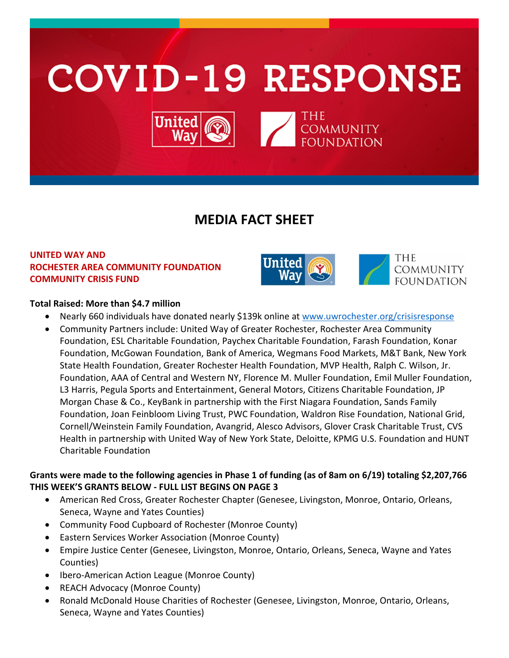

# **MEDIA FACT SHEET**

# **UNITED WAY AND ROCHESTER AREA COMMUNITY FOUNDATION COMMUNITY CRISIS FUND**



## **Total Raised: More than \$4.7 million**

- Nearly 660 individuals have donated nearly \$139k online at [www.uwrochester.org/crisisresponse](http://www.uwrochester.org/crisisresponse)
- Community Partners include: United Way of Greater Rochester, Rochester Area Community Foundation, ESL Charitable Foundation, Paychex Charitable Foundation, Farash Foundation, Konar Foundation, McGowan Foundation, Bank of America, Wegmans Food Markets, M&T Bank, New York State Health Foundation, Greater Rochester Health Foundation, MVP Health, Ralph C. Wilson, Jr. Foundation, AAA of Central and Western NY, Florence M. Muller Foundation, Emil Muller Foundation, L3 Harris, Pegula Sports and Entertainment, General Motors, Citizens Charitable Foundation, JP Morgan Chase & Co., KeyBank in partnership with the First Niagara Foundation, Sands Family Foundation, Joan Feinbloom Living Trust, PWC Foundation, Waldron Rise Foundation, National Grid, Cornell/Weinstein Family Foundation, Avangrid, Alesco Advisors, Glover Crask Charitable Trust, CVS Health in partnership with United Way of New York State, Deloitte, KPMG U.S. Foundation and HUNT Charitable Foundation

# **Grants were made to the following agencies in Phase 1 of funding (as of 8am on 6/19) totaling \$2,207,766 THIS WEEK'S GRANTS BELOW - FULL LIST BEGINS ON PAGE 3**

- American Red Cross, Greater Rochester Chapter (Genesee, Livingston, Monroe, Ontario, Orleans, Seneca, Wayne and Yates Counties)
- Community Food Cupboard of Rochester (Monroe County)
- Eastern Services Worker Association (Monroe County)
- Empire Justice Center (Genesee, Livingston, Monroe, Ontario, Orleans, Seneca, Wayne and Yates Counties)
- Ibero-American Action League (Monroe County)
- REACH Advocacy (Monroe County)
- Ronald McDonald House Charities of Rochester (Genesee, Livingston, Monroe, Ontario, Orleans, Seneca, Wayne and Yates Counties)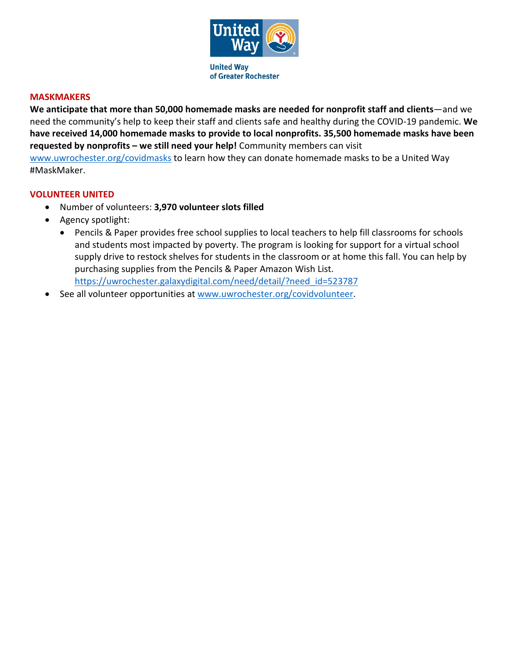

#### **MASKMAKERS**

**We anticipate that more than 50,000 homemade masks are needed for nonprofit staff and clients**—and we need the community's help to keep their staff and clients safe and healthy during the COVID-19 pandemic. **We have received 14,000 homemade masks to provide to local nonprofits. 35,500 homemade masks have been requested by nonprofits – we still need your help!** Community members can visit [www.uwrochester.org/covidmasks](http://www.uwrochester.org/covidmasks) to learn how they can donate homemade masks to be a United Way #MaskMaker.

#### **VOLUNTEER UNITED**

- Number of volunteers: **3,970 volunteer slots filled**
- Agency spotlight:
	- Pencils & Paper provides free school supplies to local teachers to help fill classrooms for schools and students most impacted by poverty. The program is looking for support for a virtual school supply drive to restock shelves for students in the classroom or at home this fall. You can help by purchasing supplies from the Pencils & Paper Amazon Wish List. [https://uwrochester.galaxydigital.com/need/detail/?need\\_id=523787](https://uwrochester.galaxydigital.com/need/detail/?need_id=523787)
- See all volunteer opportunities at [www.uwrochester.org/covidvolunteer.](http://www.uwrochester.org/covidvolunteer)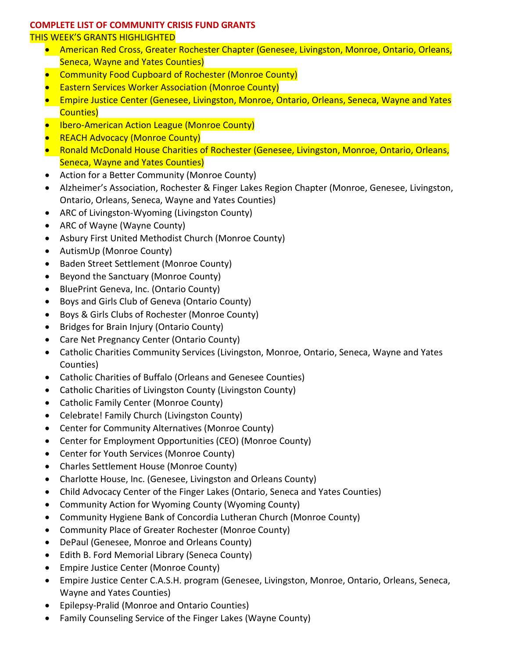### **COMPLETE LIST OF COMMUNITY CRISIS FUND GRANTS**

#### THIS WEEK'S GRANTS HIGHLIGHTED

- American Red Cross, Greater Rochester Chapter (Genesee, Livingston, Monroe, Ontario, Orleans, Seneca, Wayne and Yates Counties)
- Community Food Cupboard of Rochester (Monroe County)
- Eastern Services Worker Association (Monroe County)
- Empire Justice Center (Genesee, Livingston, Monroe, Ontario, Orleans, Seneca, Wayne and Yates Counties)
- Ibero-American Action League (Monroe County)
- REACH Advocacy (Monroe County)
- Ronald McDonald House Charities of Rochester (Genesee, Livingston, Monroe, Ontario, Orleans, Seneca, Wayne and Yates Counties)
- Action for a Better Community (Monroe County)
- Alzheimer's Association, Rochester & Finger Lakes Region Chapter (Monroe, Genesee, Livingston, Ontario, Orleans, Seneca, Wayne and Yates Counties)
- ARC of Livingston-Wyoming (Livingston County)
- ARC of Wayne (Wayne County)
- Asbury First United Methodist Church (Monroe County)
- AutismUp (Monroe County)
- Baden Street Settlement (Monroe County)
- Beyond the Sanctuary (Monroe County)
- BluePrint Geneva, Inc. (Ontario County)
- Boys and Girls Club of Geneva (Ontario County)
- Boys & Girls Clubs of Rochester (Monroe County)
- Bridges for Brain Injury (Ontario County)
- Care Net Pregnancy Center (Ontario County)
- Catholic Charities Community Services (Livingston, Monroe, Ontario, Seneca, Wayne and Yates Counties)
- Catholic Charities of Buffalo (Orleans and Genesee Counties)
- Catholic Charities of Livingston County (Livingston County)
- Catholic Family Center (Monroe County)
- Celebrate! Family Church (Livingston County)
- Center for Community Alternatives (Monroe County)
- Center for Employment Opportunities (CEO) (Monroe County)
- Center for Youth Services (Monroe County)
- Charles Settlement House (Monroe County)
- Charlotte House, Inc. (Genesee, Livingston and Orleans County)
- Child Advocacy Center of the Finger Lakes (Ontario, Seneca and Yates Counties)
- Community Action for Wyoming County (Wyoming County)
- Community Hygiene Bank of Concordia Lutheran Church (Monroe County)
- Community Place of Greater Rochester (Monroe County)
- DePaul (Genesee, Monroe and Orleans County)
- Edith B. Ford Memorial Library (Seneca County)
- Empire Justice Center (Monroe County)
- Empire Justice Center C.A.S.H. program (Genesee, Livingston, Monroe, Ontario, Orleans, Seneca, Wayne and Yates Counties)
- Epilepsy-Pralid (Monroe and Ontario Counties)
- Family Counseling Service of the Finger Lakes (Wayne County)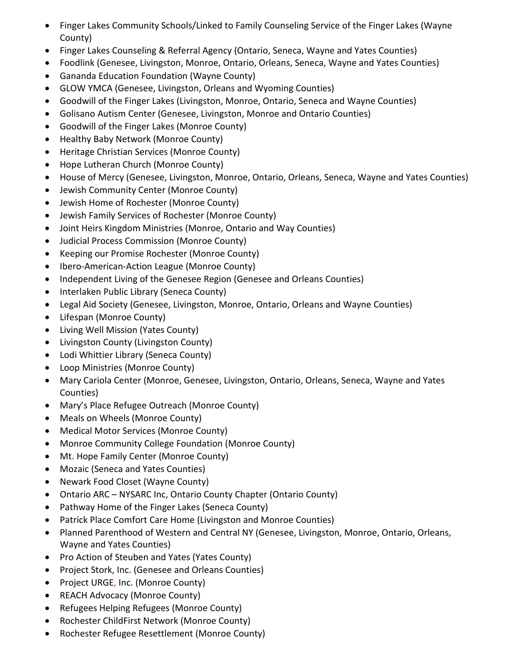- Finger Lakes Community Schools/Linked to Family Counseling Service of the Finger Lakes (Wayne County)
- Finger Lakes Counseling & Referral Agency (Ontario, Seneca, Wayne and Yates Counties)
- Foodlink (Genesee, Livingston, Monroe, Ontario, Orleans, Seneca, Wayne and Yates Counties)
- Gananda Education Foundation (Wayne County)
- GLOW YMCA (Genesee, Livingston, Orleans and Wyoming Counties)
- Goodwill of the Finger Lakes (Livingston, Monroe, Ontario, Seneca and Wayne Counties)
- Golisano Autism Center (Genesee, Livingston, Monroe and Ontario Counties)
- Goodwill of the Finger Lakes (Monroe County)
- Healthy Baby Network (Monroe County)
- Heritage Christian Services (Monroe County)
- Hope Lutheran Church (Monroe County)
- House of Mercy (Genesee, Livingston, Monroe, Ontario, Orleans, Seneca, Wayne and Yates Counties)
- Jewish Community Center (Monroe County)
- Jewish Home of Rochester (Monroe County)
- Jewish Family Services of Rochester (Monroe County)
- Joint Heirs Kingdom Ministries (Monroe, Ontario and Way Counties)
- Judicial Process Commission (Monroe County)
- Keeping our Promise Rochester (Monroe County)
- Ibero-American-Action League (Monroe County)
- Independent Living of the Genesee Region (Genesee and Orleans Counties)
- Interlaken Public Library (Seneca County)
- Legal Aid Society (Genesee, Livingston, Monroe, Ontario, Orleans and Wayne Counties)
- Lifespan (Monroe County)
- Living Well Mission (Yates County)
- Livingston County (Livingston County)
- Lodi Whittier Library (Seneca County)
- Loop Ministries (Monroe County)
- Mary Cariola Center (Monroe, Genesee, Livingston, Ontario, Orleans, Seneca, Wayne and Yates Counties)
- Mary's Place Refugee Outreach (Monroe County)
- Meals on Wheels (Monroe County)
- Medical Motor Services (Monroe County)
- Monroe Community College Foundation (Monroe County)
- Mt. Hope Family Center (Monroe County)
- Mozaic (Seneca and Yates Counties)
- Newark Food Closet (Wayne County)
- Ontario ARC NYSARC Inc, Ontario County Chapter (Ontario County)
- Pathway Home of the Finger Lakes (Seneca County)
- Patrick Place Comfort Care Home (Livingston and Monroe Counties)
- Planned Parenthood of Western and Central NY (Genesee, Livingston, Monroe, Ontario, Orleans, Wayne and Yates Counties)
- Pro Action of Steuben and Yates (Yates County)
- Project Stork, Inc. (Genesee and Orleans Counties)
- Project URGE, Inc. (Monroe County)
- REACH Advocacy (Monroe County)
- Refugees Helping Refugees (Monroe County)
- Rochester ChildFirst Network (Monroe County)
- Rochester Refugee Resettlement (Monroe County)